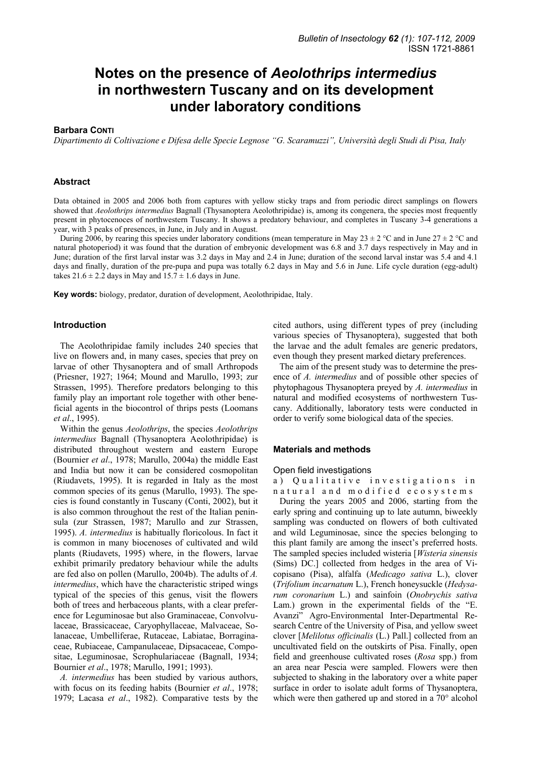# **Notes on the presence of** *Aeolothrips intermedius* **in northwestern Tuscany and on its development under laboratory conditions**

#### **Barbara CONTI**

*Dipartimento di Coltivazione e Difesa delle Specie Legnose "G. Scaramuzzi", Università degli Studi di Pisa, Italy* 

#### **Abstract**

Data obtained in 2005 and 2006 both from captures with yellow sticky traps and from periodic direct samplings on flowers showed that *Aeolothrips intermedius* Bagnall (Thysanoptera Aeolothripidae) is, among its congenera, the species most frequently present in phytocenoces of northwestern Tuscany. It shows a predatory behaviour, and completes in Tuscany 3-4 generations a year, with 3 peaks of presences, in June, in July and in August.

During 2006, by rearing this species under laboratory conditions (mean temperature in May 23  $\pm$  2 °C and in June 27  $\pm$  2 °C and natural photoperiod) it was found that the duration of embryonic development was 6.8 and 3.7 days respectively in May and in June; duration of the first larval instar was 3.2 days in May and 2.4 in June; duration of the second larval instar was 5.4 and 4.1 days and finally, duration of the pre-pupa and pupa was totally 6.2 days in May and 5.6 in June. Life cycle duration (egg-adult) takes  $21.6 \pm 2.2$  days in May and  $15.7 \pm 1.6$  days in June.

**Key words:** biology, predator, duration of development, Aeolothripidae, Italy.

#### **Introduction**

The Aeolothripidae family includes 240 species that live on flowers and, in many cases, species that prey on larvae of other Thysanoptera and of small Arthropods (Priesner, 1927; 1964; Mound and Marullo, 1993; zur Strassen, 1995). Therefore predators belonging to this family play an important role together with other beneficial agents in the biocontrol of thrips pests (Loomans *et al*., 1995).

Within the genus *Aeolothrips*, the species *Aeolothrips intermedius* Bagnall (Thysanoptera Aeolothripidae) is distributed throughout western and eastern Europe (Bournier *et al*., 1978; Marullo, 2004a) the middle East and India but now it can be considered cosmopolitan (Riudavets, 1995). It is regarded in Italy as the most common species of its genus (Marullo, 1993). The species is found constantly in Tuscany (Conti, 2002), but it is also common throughout the rest of the Italian peninsula (zur Strassen, 1987; Marullo and zur Strassen, 1995). *A. intermedius* is habitually floricolous. In fact it is common in many biocenoses of cultivated and wild plants (Riudavets, 1995) where, in the flowers, larvae exhibit primarily predatory behaviour while the adults are fed also on pollen (Marullo, 2004b). The adults of *A. intermedius*, which have the characteristic striped wings typical of the species of this genus, visit the flowers both of trees and herbaceous plants, with a clear preference for Leguminosae but also Graminaceae, Convolvulaceae, Brassicaceae, Caryophyllaceae, Malvaceae, Solanaceae, Umbelliferae, Rutaceae, Labiatae, Borraginaceae, Rubiaceae, Campanulaceae, Dipsacaceae, Compositae, Leguminosae, Scrophulariaceae (Bagnall, 1934; Bournier *et al*., 1978; Marullo, 1991; 1993).

*A. intermedius* has been studied by various authors, with focus on its feeding habits (Bournier *et al*., 1978; 1979; Lacasa *et al*., 1982). Comparative tests by the cited authors, using different types of prey (including various species of Thysanoptera), suggested that both the larvae and the adult females are generic predators, even though they present marked dietary preferences.

The aim of the present study was to determine the presence of *A. intermedius* and of possible other species of phytophagous Thysanoptera preyed by *A. intermedius* in natural and modified ecosystems of northwestern Tuscany. Additionally, laboratory tests were conducted in order to verify some biological data of the species.

#### **Materials and methods**

#### Open field investigations

a) Qualitative investigations in natural and modified ecosystems

During the years 2005 and 2006, starting from the early spring and continuing up to late autumn, biweekly sampling was conducted on flowers of both cultivated and wild Leguminosae, since the species belonging to this plant family are among the insect's preferred hosts. The sampled species included wisteria [*Wisteria sinensis* (Sims) DC.] collected from hedges in the area of Vicopisano (Pisa), alfalfa (*Medicago sativa* L.), clover (*Trifolium incarnatum* L.), French honeysuckle (*Hedysarum coronarium* L.) and sainfoin (*Onobrychis sativa* Lam.) grown in the experimental fields of the "E. Avanzi" Agro-Environmental Inter-Departmental Research Centre of the University of Pisa, and yellow sweet clover [*Melilotus officinalis* (L.) Pall.] collected from an uncultivated field on the outskirts of Pisa. Finally, open field and greenhouse cultivated roses (*Rosa* spp.) from an area near Pescia were sampled. Flowers were then subjected to shaking in the laboratory over a white paper surface in order to isolate adult forms of Thysanoptera, which were then gathered up and stored in a 70° alcohol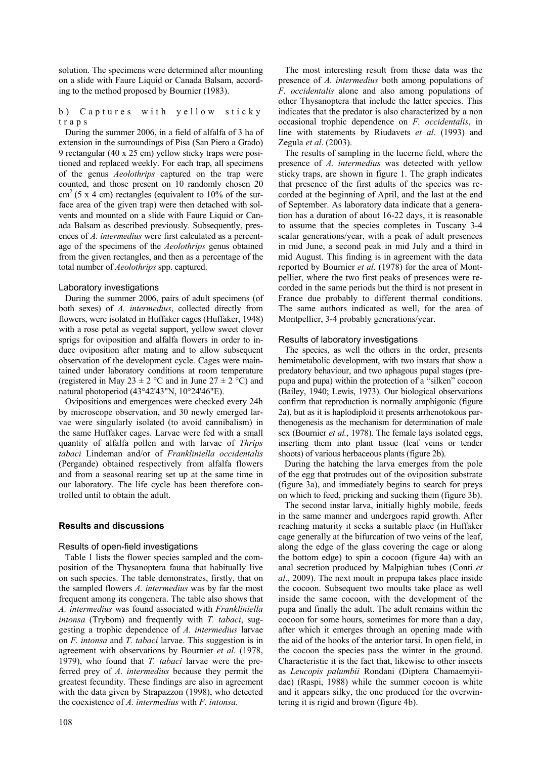solution. The specimens were determined after mounting on a slide with Faure Liquid or Canada Balsam, according to the method proposed by Bournier (1983).

b) Captures with yellow sticky traps

During the summer 2006, in a field of alfalfa of 3 ha of extension in the surroundings of Pisa (San Piero a Grado) 9 rectangular (40 x 25 cm) yellow sticky traps were positioned and replaced weekly. For each trap, all specimens of the genus *Aeolothrips* captured on the trap were counted, and those present on 10 randomly chosen 20  $\text{cm}^2$  (5 x 4 cm) rectangles (equivalent to 10% of the surface area of the given trap) were then detached with solvents and mounted on a slide with Faure Liquid or Canada Balsam as described previously. Subsequently, presences of *A. intermedius* were first calculated as a percentage of the specimens of the *Aeolothrips* genus obtained from the given rectangles, and then as a percentage of the total number of *Aeolothrips* spp. captured.

## Laboratory investigations

During the summer 2006, pairs of adult specimens (of both sexes) of *A. intermedius*, collected directly from flowers, were isolated in Huffaker cages (Huffaker, 1948) with a rose petal as vegetal support, yellow sweet clover sprigs for oviposition and alfalfa flowers in order to induce oviposition after mating and to allow subsequent observation of the development cycle. Cages were maintained under laboratory conditions at room temperature (registered in May 23  $\pm$  2 °C and in June 27  $\pm$  2 °C) and natural photoperiod (43°42'43"N, 10°24'46"E).

Ovipositions and emergences were checked every 24h by microscope observation, and 30 newly emerged larvae were singularly isolated (to avoid cannibalism) in the same Huffaker cages. Larvae were fed with a small quantity of alfalfa pollen and with larvae of *Thrips tabaci* Lindeman and/or of *Frankliniella occidentalis*  (Pergande) obtained respectively from alfalfa flowers and from a seasonal rearing set up at the same time in our laboratory. The life cycle has been therefore controlled until to obtain the adult.

# **Results and discussions**

# Results of open-field investigations

Table 1 lists the flower species sampled and the composition of the Thysanoptera fauna that habitually live on such species. The table demonstrates, firstly, that on the sampled flowers *A. intermedius* was by far the most frequent among its congenera. The table also shows that *A. intermedius* was found associated with *Frankliniella intonsa* (Trybom) and frequently with *T. tabaci*, suggesting a trophic dependence of *A. intermedius* larvae on *F. intonsa* and *T. tabaci* larvae. This suggestion is in agreement with observations by Bournier *et al.* (1978, 1979), who found that *T. tabaci* larvae were the preferred prey of *A. intermedius* because they permit the greatest fecundity. These findings are also in agreement with the data given by Strapazzon (1998), who detected the coexistence of *A. intermedius* with *F. intonsa.*

108

The most interesting result from these data was the presence of *A. intermedius* both among populations of *F. occidentalis* alone and also among populations of other Thysanoptera that include the latter species. This indicates that the predator is also characterized by a non occasional trophic dependence on *F. occidentalis*, in line with statements by Riudavets *et al*. (1993) and Zegula *et al*. (2003).

The results of sampling in the lucerne field, where the presence of *A. intermedius* was detected with yellow sticky traps, are shown in figure 1. The graph indicates that presence of the first adults of the species was recorded at the beginning of April, and the last at the end of September. As laboratory data indicate that a generation has a duration of about 16-22 days, it is reasonable to assume that the species completes in Tuscany 3-4 scalar generations/year, with a peak of adult presences in mid June, a second peak in mid July and a third in mid August. This finding is in agreement with the data reported by Bournier *et al.* (1978) for the area of Montpellier, where the two first peaks of presences were recorded in the same periods but the third is not present in France due probably to different thermal conditions. The same authors indicated as well, for the area of Montpellier, 3-4 probably generations/year.

## Results of laboratory investigations

The species, as well the others in the order, presents hemimetabolic development, with two instars that show a predatory behaviour, and two aphagous pupal stages (prepupa and pupa) within the protection of a "silken" cocoon (Bailey, 1940; Lewis, 1973). Our biological observations confirm that reproduction is normally amphigonic (figure 2a), but as it is haplodiploid it presents arrhenotokous parthenogenesis as the mechanism for determination of male sex (Bournier *et al.*, 1978). The female lays isolated eggs, inserting them into plant tissue (leaf veins or tender shoots) of various herbaceous plants (figure 2b).

During the hatching the larva emerges from the pole of the egg that protrudes out of the oviposition substrate (figure 3a), and immediately begins to search for preys on which to feed, pricking and sucking them (figure 3b).

The second instar larva, initially highly mobile, feeds in the same manner and undergoes rapid growth. After reaching maturity it seeks a suitable place (in Huffaker cage generally at the bifurcation of two veins of the leaf, along the edge of the glass covering the cage or along the bottom edge) to spin a cocoon (figure 4a) with an anal secretion produced by Malpighian tubes (Conti *et al*., 2009). The next moult in prepupa takes place inside the cocoon. Subsequent two moults take place as well inside the same cocoon, with the development of the pupa and finally the adult. The adult remains within the cocoon for some hours, sometimes for more than a day, after which it emerges through an opening made with the aid of the hooks of the anterior tarsi. In open field, in the cocoon the species pass the winter in the ground. Characteristic it is the fact that, likewise to other insects as *Leucopis palumbii* Rondani (Diptera Chamaemyiidae) (Raspi, 1988) while the summer cocoon is white and it appears silky, the one produced for the overwintering it is rigid and brown (figure 4b).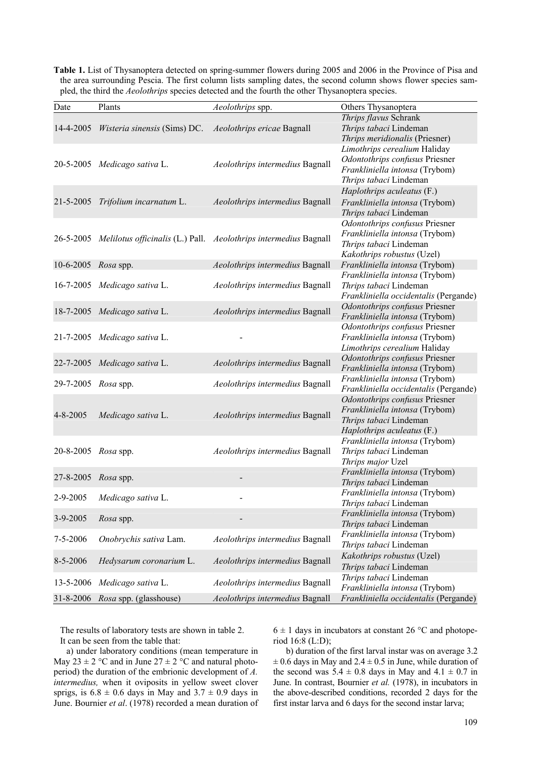**Table 1.** List of Thysanoptera detected on spring-summer flowers during 2005 and 2006 in the Province of Pisa and the area surrounding Pescia. The first column lists sampling dates, the second column shows flower species sampled, the third the *Aeolothrips* species detected and the fourth the other Thysanoptera species.

| Date                | Plants                            | Aeolothrips spp.                                                           | Others Thysanoptera                                                                                                        |
|---------------------|-----------------------------------|----------------------------------------------------------------------------|----------------------------------------------------------------------------------------------------------------------------|
| 14-4-2005           | Wisteria sinensis (Sims) DC.      | Aeolothrips ericae Bagnall                                                 | Thrips flavus Schrank<br>Thrips tabaci Lindeman<br>Thrips meridionalis (Priesner)                                          |
|                     | 20-5-2005 Medicago sativa L.      | Aeolothrips intermedius Bagnall                                            | Limothrips cerealium Haliday<br>Odontothrips confusus Priesner<br>Frankliniella intonsa (Trybom)<br>Thrips tabaci Lindeman |
|                     | 21-5-2005 Trifolium incarnatum L. | Aeolothrips intermedius Bagnall                                            | Haplothrips aculeatus (F.)<br>Frankliniella intonsa (Trybom)<br>Thrips tabaci Lindeman                                     |
|                     |                                   | 26-5-2005 Melilotus officinalis (L.) Pall. Aeolothrips intermedius Bagnall | Odontothrips confusus Priesner<br>Frankliniella intonsa (Trybom)<br>Thrips tabaci Lindeman<br>Kakothrips robustus (Uzel)   |
| 10-6-2005 Rosa spp. |                                   | Aeolothrips intermedius Bagnall                                            | Frankliniella intonsa (Trybom)                                                                                             |
|                     | 16-7-2005 Medicago sativa L.      | Aeolothrips intermedius Bagnall                                            | Frankliniella intonsa (Trybom)<br>Thrips tabaci Lindeman<br>Frankliniella occidentalis (Pergande)                          |
|                     | 18-7-2005 Medicago sativa L.      | Aeolothrips intermedius Bagnall                                            | Odontothrips confusus Priesner<br>Frankliniella intonsa (Trybom)                                                           |
|                     | 21-7-2005 Medicago sativa L.      |                                                                            | Odontothrips confusus Priesner<br>Frankliniella intonsa (Trybom)<br>Limothrips cerealium Haliday                           |
|                     | 22-7-2005 Medicago sativa L.      | Aeolothrips intermedius Bagnall                                            | Odontothrips confusus Priesner<br>Frankliniella intonsa (Trybom)                                                           |
| 29-7-2005 Rosa spp. |                                   | Aeolothrips intermedius Bagnall                                            | Frankliniella intonsa (Trybom)<br>Frankliniella occidentalis (Pergande)                                                    |
| $4 - 8 - 2005$      | Medicago sativa L.                | Aeolothrips intermedius Bagnall                                            | Odontothrips confusus Priesner<br>Frankliniella intonsa (Trybom)<br>Thrips tabaci Lindeman<br>Haplothrips aculeatus (F.)   |
| 20-8-2005 Rosa spp. |                                   | Aeolothrips intermedius Bagnall                                            | Frankliniella intonsa (Trybom)<br>Thrips tabaci Lindeman<br>Thrips major Uzel                                              |
| 27-8-2005           | Rosa spp.                         |                                                                            | Frankliniella intonsa (Trybom)<br>Thrips tabaci Lindeman                                                                   |
| 2-9-2005            | Medicago sativa L.                |                                                                            | Frankliniella intonsa (Trybom)<br>Thrips tabaci Lindeman                                                                   |
| 3-9-2005            | Rosa spp.                         |                                                                            | Frankliniella intonsa (Trybom)<br>Thrips tabaci Lindeman                                                                   |
| $7 - 5 - 2006$      | Onobrychis sativa Lam.            | Aeolothrips intermedius Bagnall                                            | Frankliniella intonsa (Trybom)<br>Thrips tabaci Lindeman                                                                   |
| 8-5-2006            | Hedysarum coronarium L.           | Aeolothrips intermedius Bagnall                                            | Kakothrips robustus (Uzel)<br>Thrips tabaci Lindeman                                                                       |
| 13-5-2006           | Medicago sativa L.                | Aeolothrips intermedius Bagnall                                            | Thrips tabaci Lindeman<br>Frankliniella intonsa (Trybom)                                                                   |
| 31-8-2006           | <i>Rosa</i> spp. (glasshouse)     | Aeolothrips intermedius Bagnall                                            | Frankliniella occidentalis (Pergande)                                                                                      |

The results of laboratory tests are shown in table 2. It can be seen from the table that:

a) under laboratory conditions (mean temperature in May  $23 \pm 2$  °C and in June  $27 \pm 2$  °C and natural photoperiod) the duration of the embrionic development of *A. intermedius,* when it oviposits in yellow sweet clover sprigs, is  $6.8 \pm 0.6$  days in May and  $3.7 \pm 0.9$  days in June. Bournier *et al*. (1978) recorded a mean duration of  $6 \pm 1$  days in incubators at constant 26 °C and photoperiod 16:8 (L:D);

b) duration of the first larval instar was on average 3.2  $\pm$  0.6 days in May and 2.4  $\pm$  0.5 in June, while duration of the second was  $5.4 \pm 0.8$  days in May and  $4.1 \pm 0.7$  in June. In contrast, Bournier *et al.* (1978), in incubators in the above-described conditions, recorded 2 days for the first instar larva and 6 days for the second instar larva;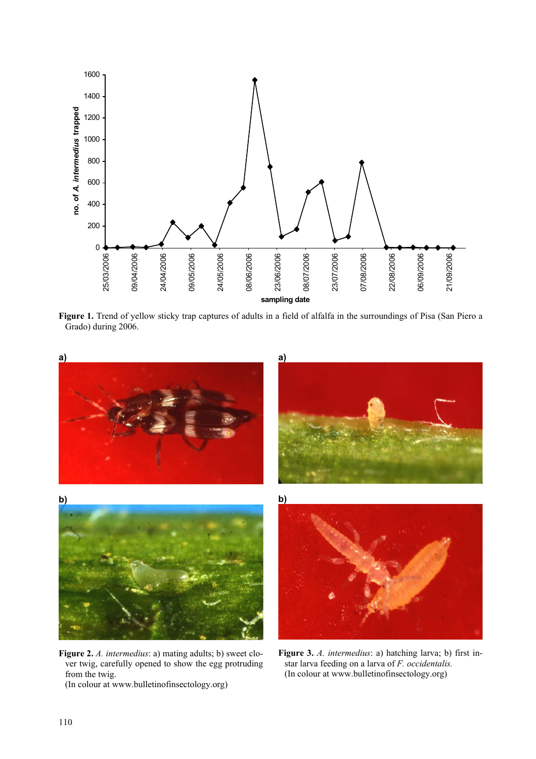

**Figure 1.** Trend of yellow sticky trap captures of adults in a field of alfalfa in the surroundings of Pisa (San Piero a Grado) during 2006.



**Figure 2.** *A. intermedius*: a) mating adults; b) sweet clover twig, carefully opened to show the egg protruding from the twig. (In colour at www.bulletinofinsectology.org)

**Figure 3.** *A. intermedius*: a) hatching larva; b) first instar larva feeding on a larva of *F. occidentalis.*  (In colour at www.bulletinofinsectology.org)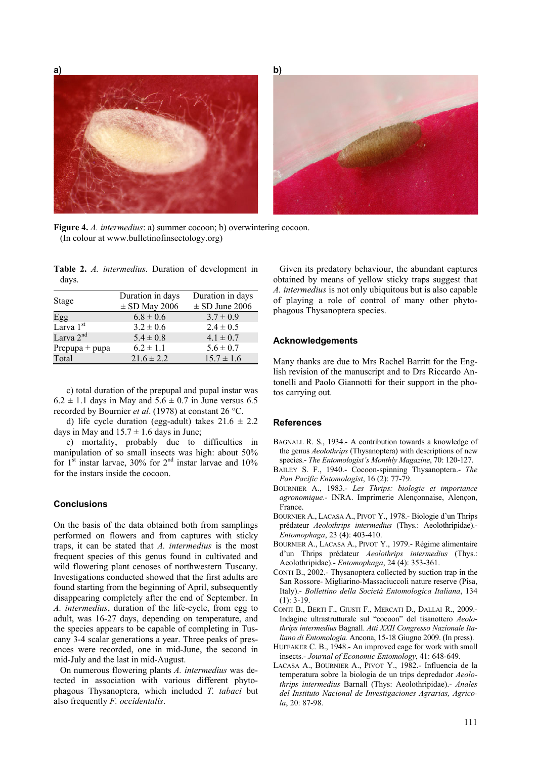**a) b)**

**Figure 4.** *A. intermedius*: a) summer cocoon; b) overwintering cocoon. (In colour at www.bulletinofinsectology.org)

**Table 2.** *A. intermedius*. Duration of development in days.

| Stage                 | Duration in days  | Duration in days   |
|-----------------------|-------------------|--------------------|
|                       | $\pm$ SD May 2006 | $\pm$ SD June 2006 |
| Egg                   | $6.8 \pm 0.6$     | $3.7 \pm 0.9$      |
| Larva 1 <sup>st</sup> | $3.2 \pm 0.6$     | $2.4 \pm 0.5$      |
| Larva $2nd$           | $5.4 \pm 0.8$     | $4.1 \pm 0.7$      |
| Prepupa $+$ pupa      | $6.2 \pm 1.1$     | $5.6 \pm 0.7$      |
| Total                 | $21.6 \pm 2.2$    | $15.7 \pm 1.6$     |

c) total duration of the prepupal and pupal instar was  $6.2 \pm 1.1$  days in May and  $5.6 \pm 0.7$  in June versus 6.5 recorded by Bournier *et al*. (1978) at constant 26 °C.

d) life cycle duration (egg-adult) takes  $21.6 \pm 2.2$ days in May and  $15.7 \pm 1.6$  days in June;

e) mortality, probably due to difficulties in manipulation of so small insects was high: about 50% for 1<sup>st</sup> instar larvae, 30% for 2<sup>nd</sup> instar larvae and 10% for the instars inside the cocoon.

# **Conclusions**

On the basis of the data obtained both from samplings performed on flowers and from captures with sticky traps, it can be stated that *A. intermedius* is the most frequent species of this genus found in cultivated and wild flowering plant cenoses of northwestern Tuscany. Investigations conducted showed that the first adults are found starting from the beginning of April, subsequently disappearing completely after the end of September. In *A. intermedius*, duration of the life-cycle, from egg to adult, was 16-27 days, depending on temperature, and the species appears to be capable of completing in Tuscany 3-4 scalar generations a year. Three peaks of presences were recorded, one in mid-June, the second in mid-July and the last in mid-August.

On numerous flowering plants *A. intermedius* was detected in association with various different phytophagous Thysanoptera, which included *T. tabaci* but also frequently *F. occidentalis*.

Given its predatory behaviour, the abundant captures obtained by means of yellow sticky traps suggest that *A. intermedius* is not only ubiquitous but is also capable of playing a role of control of many other phytophagous Thysanoptera species.

## **Acknowledgements**

Many thanks are due to Mrs Rachel Barritt for the English revision of the manuscript and to Drs Riccardo Antonelli and Paolo Giannotti for their support in the photos carrying out.

#### **References**

- BAGNALL R. S., 1934.- A contribution towards a knowledge of the genus *Aeolothrips* (Thysanoptera) with descriptions of new species.- *The Entomologist's Monthly Magazine*, 70: 120-127.
- BAILEY S. F., 1940.- Cocoon-spinning Thysanoptera.- *The Pan Pacific Entomologist*, 16 (2): 77-79.
- BOURNIER A., 1983.- *Les Thrips: biologie et importance agronomique*.- INRA. Imprimerie Alençonnaise, Alençon, France.
- BOURNIER A., LACASA A., PIVOT Y., 1978.- Biologie d'un Thrips prédateur *Aeolothrips intermedius* (Thys.: Aeolothripidae).- *Entomophaga*, 23 (4): 403-410.
- BOURNIER A., LACASA A., PIVOT Y., 1979.- Régime alimentaire d'un Thrips prédateur *Aeolothrips intermedius* (Thys.: Aeolothripidae).- *Entomophaga*, 24 (4): 353-361.
- CONTI B., 2002.- Thysanoptera collected by suction trap in the San Rossore- Migliarino-Massaciuccoli nature reserve (Pisa, Italy).- *Bollettino della Società Entomologica Italiana*, 134  $(1)$ : 3-19
- CONTI B., BERTI F., GIUSTI F., MERCATI D., DALLAI R., 2009.- Indagine ultrastrutturale sul "cocoon" del tisanottero *Aeolothrips intermedius* Bagnall. *Atti XXII Congresso Nazionale Italiano di Entomologia.* Ancona, 15-18 Giugno 2009. (In press).
- HUFFAKER C. B., 1948.- An improved cage for work with small insects.- *Journal of Economic Entomology*, 41: 648-649.
- LACASA A., BOURNIER A., PIVOT Y., 1982.- Influencia de la temperatura sobre la biologia de un trips depredador *Aeolothrips intermedius* Barnall (Thys: Aeolothripidae).- *Anales del Instituto Nacional de Investigaciones Agrarias, Agricola*, 20: 87-98.